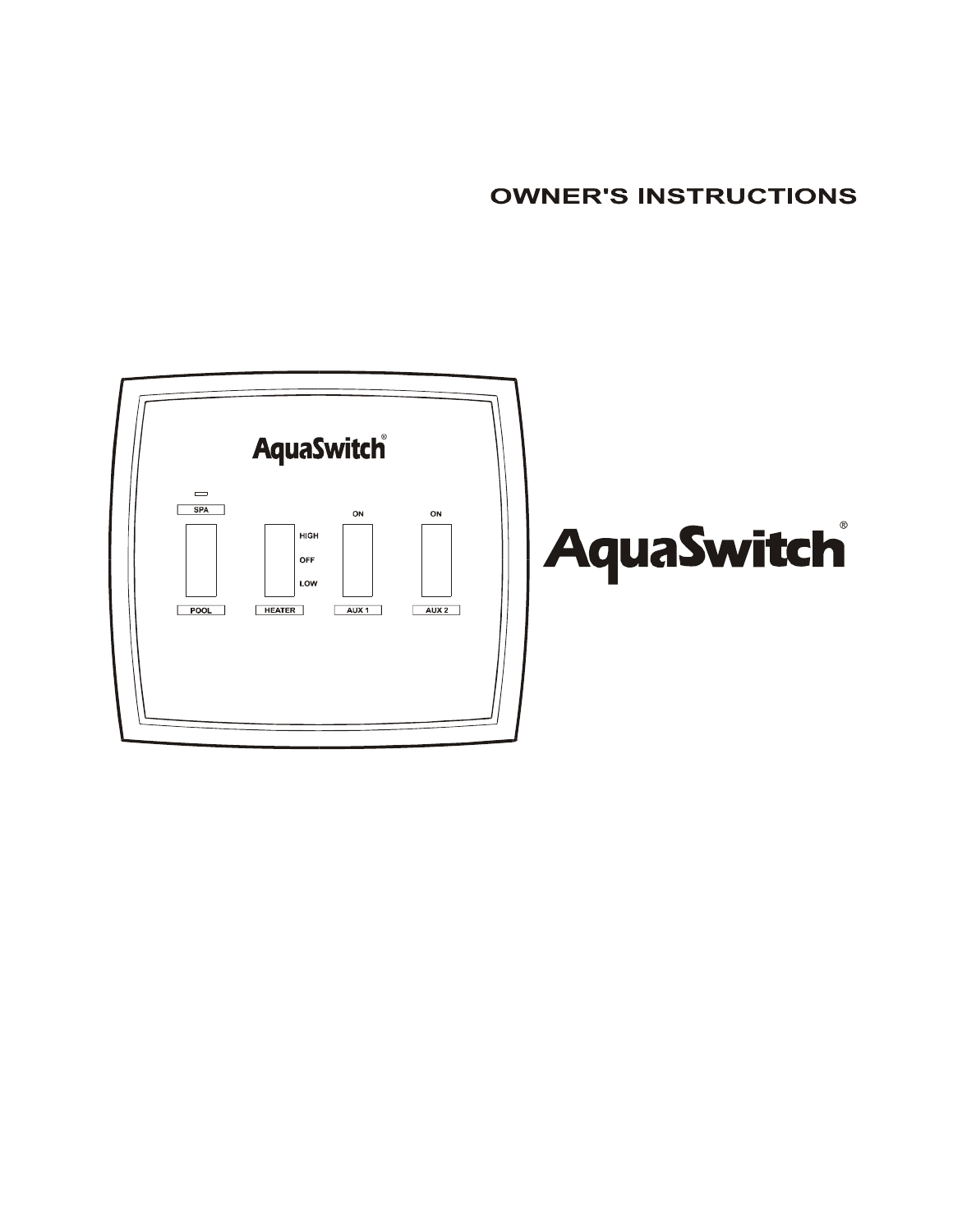**OWNER'S INSTRUCTIONS** 

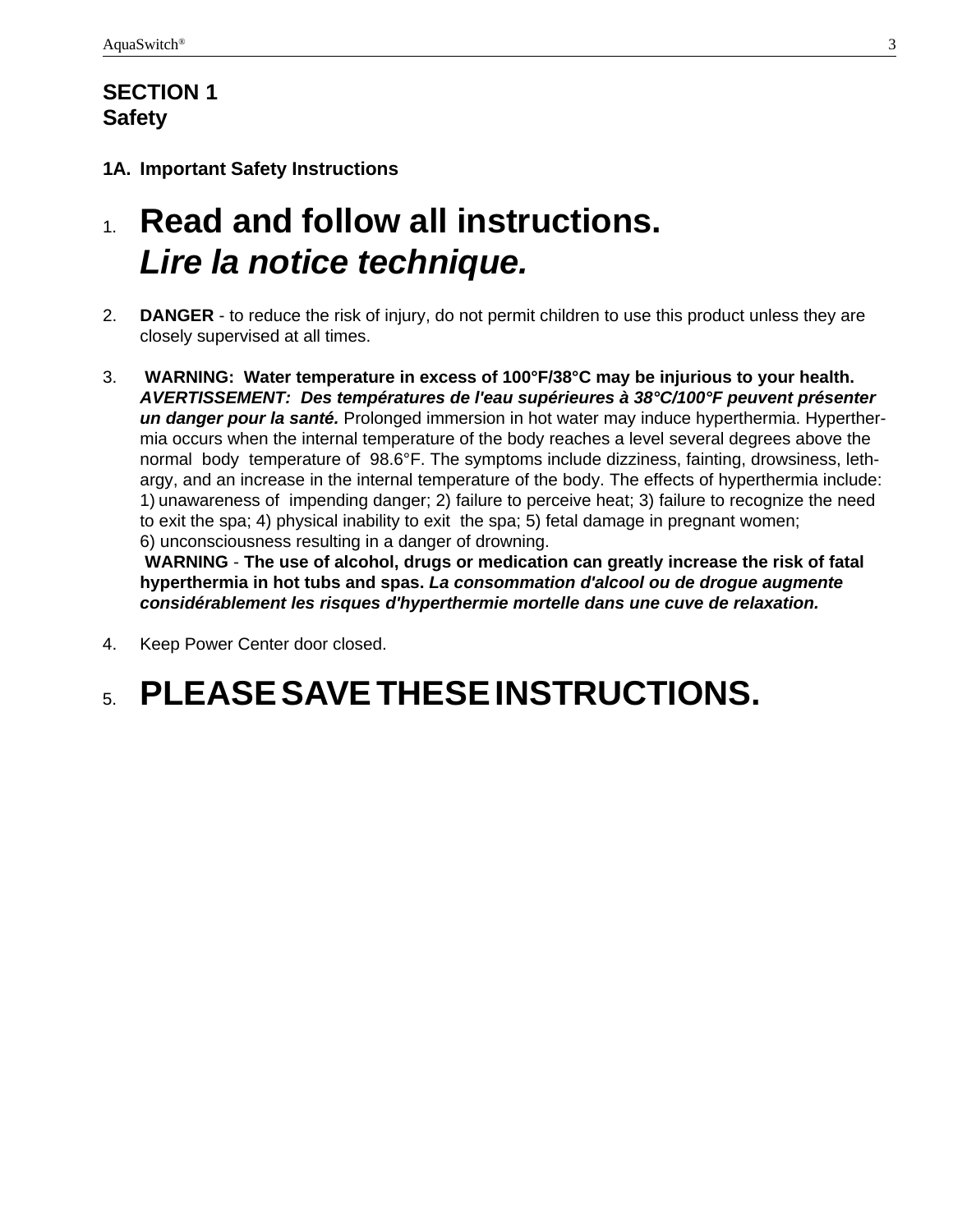### **SECTION 1 Safety**

#### **1A. Important Safety Instructions**

## 1. **Read and follow all instructions.** *Lire la notice technique.*

- 2. **DANGER** to reduce the risk of injury, do not permit children to use this product unless they are closely supervised at all times.
- 3. **WARNING: Water temperature in excess of 100°F/38°C may be injurious to your health.** *AVERTISSEMENT: Des températures de l'eau supérieures à 38°C/100°F peuvent présenter un danger pour la santé.* Prolonged immersion in hot water may induce hyperthermia. Hyperthermia occurs when the internal temperature of the body reaches a level several degrees above the normal body temperature of 98.6°F. The symptoms include dizziness, fainting, drowsiness, lethargy, and an increase in the internal temperature of the body. The effects of hyperthermia include: 1) unawareness of impending danger; 2) failure to perceive heat; 3) failure to recognize the need to exit the spa; 4) physical inability to exit the spa; 5) fetal damage in pregnant women; 6) unconsciousness resulting in a danger of drowning.

**WARNING** - **The use of alcohol, drugs or medication can greatly increase the risk of fatal hyperthermia in hot tubs and spas.** *La consommation d'alcool ou de drogue augmente considérablement les risques d'hyperthermie mortelle dans une cuve de relaxation.*

4. Keep Power Center door closed.

## 5. **PLEASE SAVE THESE INSTRUCTIONS.**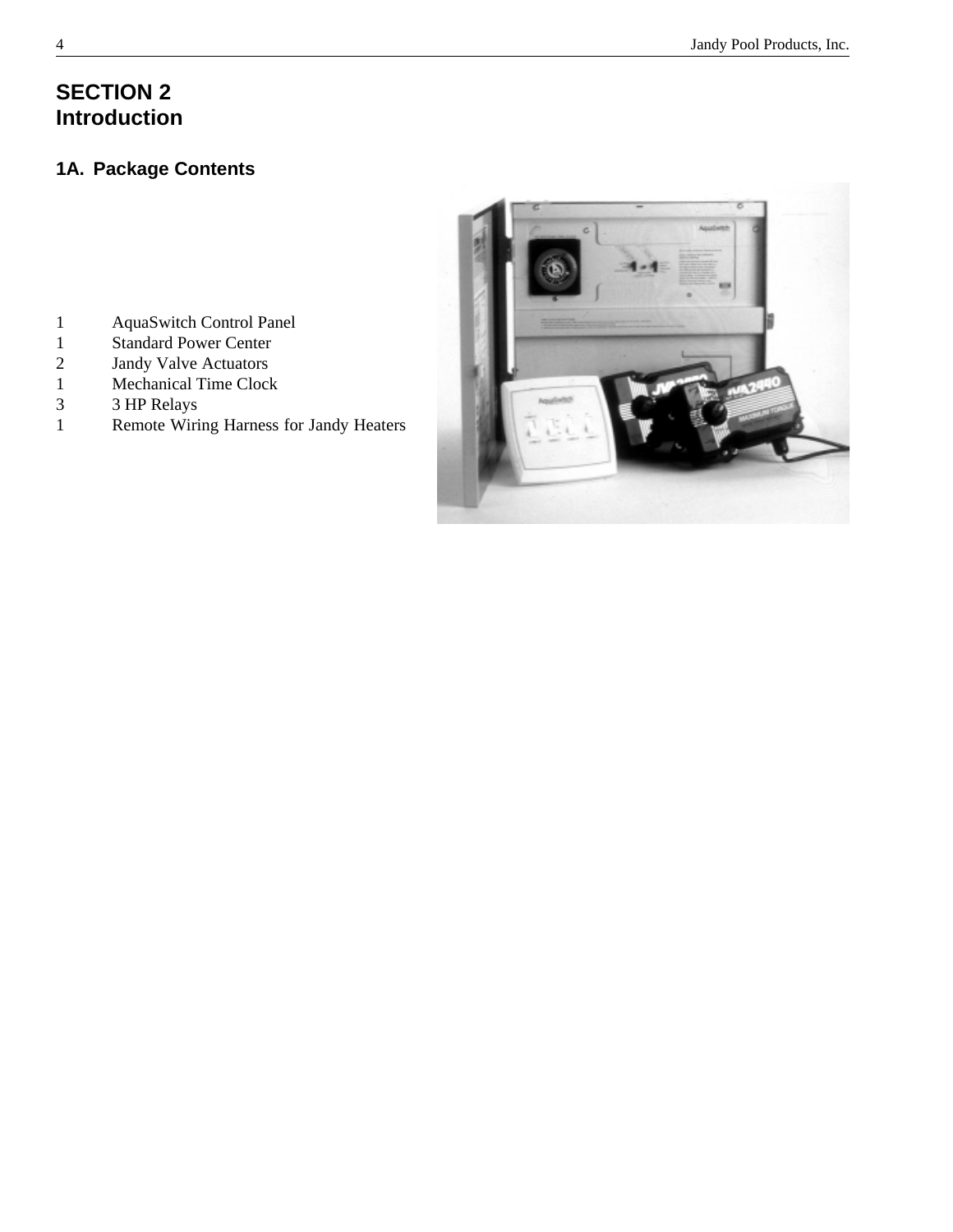### **SECTION 2 Introduction**

#### **1A. Package Contents**

- 1 AquaSwitch Control Panel
- 1 Standard Power Center
- 2 Jandy Valve Actuators
- 1 Mechanical Time Clock
- 3 3 HP Relays
- 1 Remote Wiring Harness for Jandy Heaters

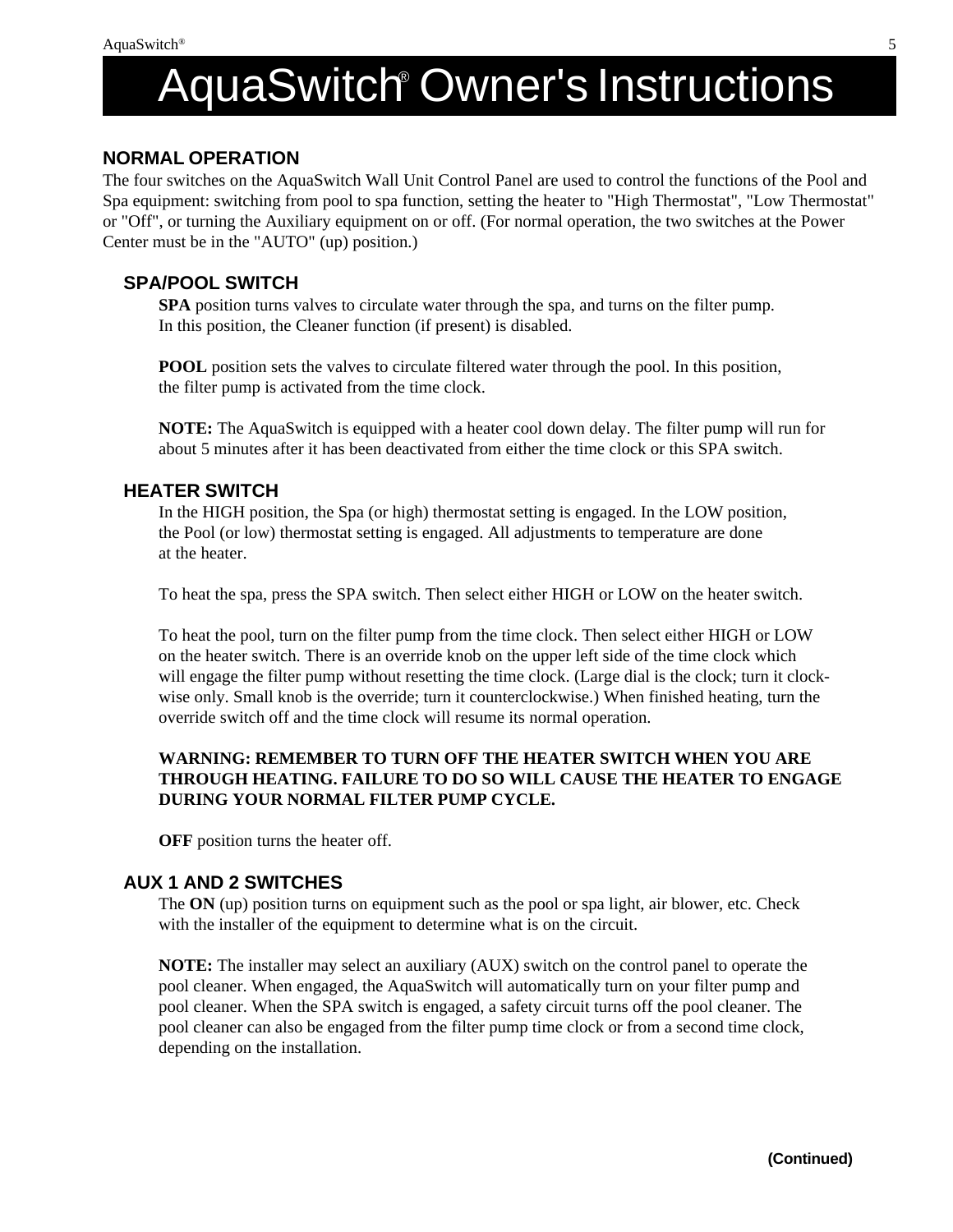## <u>Ownull Ownul 3 ma</u> AquaSwitch® Owner's Instructions

#### **NORMAL OPERATION**

The four switches on the AquaSwitch Wall Unit Control Panel are used to control the functions of the Pool and Spa equipment: switching from pool to spa function, setting the heater to "High Thermostat", "Low Thermostat" or "Off", or turning the Auxiliary equipment on or off. (For normal operation, the two switches at the Power Center must be in the "AUTO" (up) position.)

#### **SPA/POOL SWITCH**

**SPA** position turns valves to circulate water through the spa, and turns on the filter pump. In this position, the Cleaner function (if present) is disabled.

**POOL** position sets the valves to circulate filtered water through the pool. In this position, the filter pump is activated from the time clock.

**NOTE:** The AquaSwitch is equipped with a heater cool down delay. The filter pump will run for about 5 minutes after it has been deactivated from either the time clock or this SPA switch.

#### **HEATER SWITCH**

In the HIGH position, the Spa (or high) thermostat setting is engaged. In the LOW position, the Pool (or low) thermostat setting is engaged. All adjustments to temperature are done at the heater.

To heat the spa, press the SPA switch. Then select either HIGH or LOW on the heater switch.

To heat the pool, turn on the filter pump from the time clock. Then select either HIGH or LOW on the heater switch. There is an override knob on the upper left side of the time clock which will engage the filter pump without resetting the time clock. (Large dial is the clock; turn it clockwise only. Small knob is the override; turn it counterclockwise.) When finished heating, turn the override switch off and the time clock will resume its normal operation.

#### **WARNING: REMEMBER TO TURN OFF THE HEATER SWITCH WHEN YOU ARE THROUGH HEATING. FAILURE TO DO SO WILL CAUSE THE HEATER TO ENGAGE DURING YOUR NORMAL FILTER PUMP CYCLE.**

**OFF** position turns the heater off.

#### **AUX 1 AND 2 SWITCHES**

The **ON** (up) position turns on equipment such as the pool or spa light, air blower, etc. Check with the installer of the equipment to determine what is on the circuit.

**NOTE:** The installer may select an auxiliary (AUX) switch on the control panel to operate the pool cleaner. When engaged, the AquaSwitch will automatically turn on your filter pump and pool cleaner. When the SPA switch is engaged, a safety circuit turns off the pool cleaner. The pool cleaner can also be engaged from the filter pump time clock or from a second time clock, depending on the installation.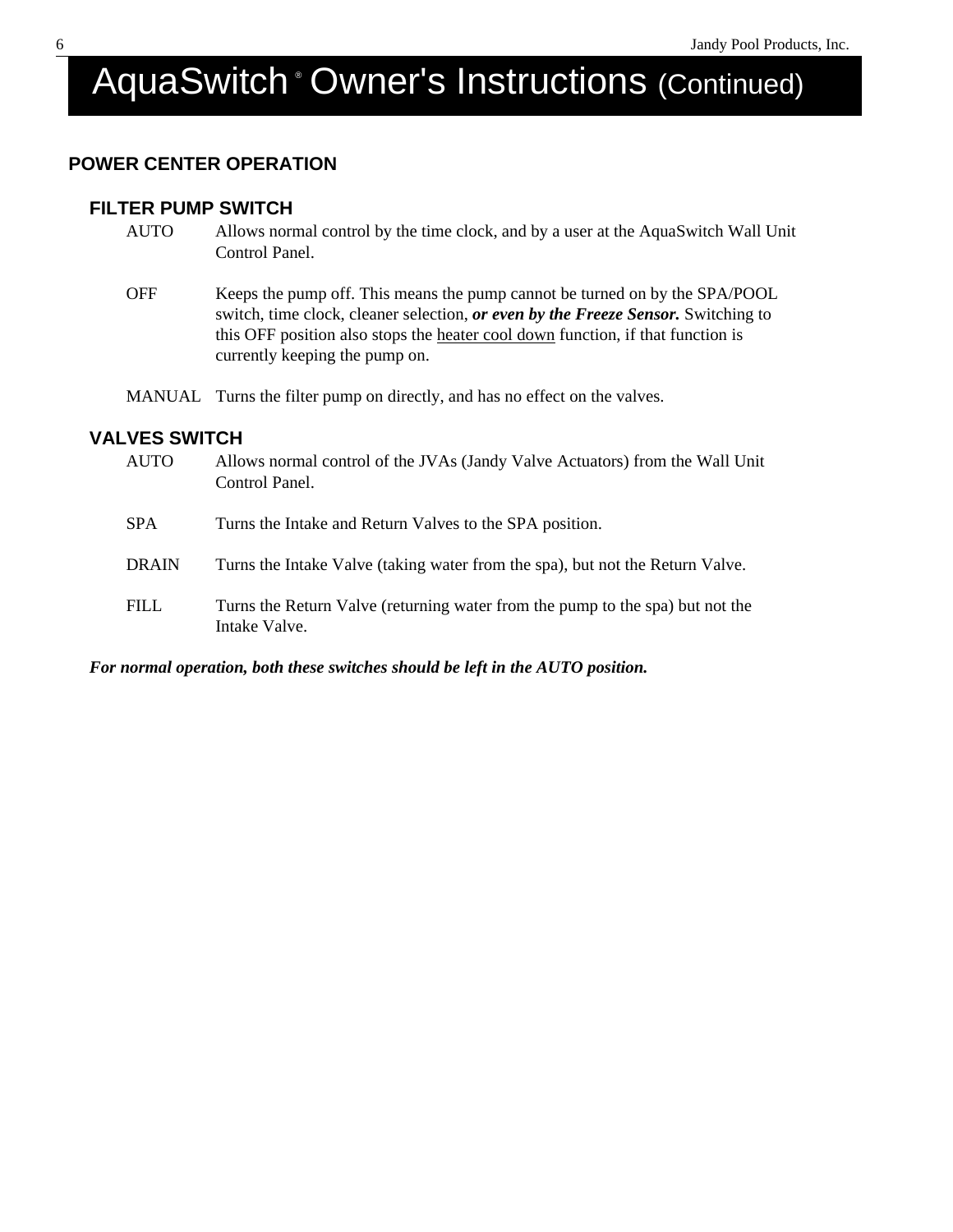# AquaSwitch <sup>®</sup> Owner's Instructions (Continued)

#### **POWER CENTER OPERATION**

#### **FILTER PUMP SWITCH**

- AUTO Allows normal control by the time clock, and by a user at the AquaSwitch Wall Unit Control Panel.
- OFF Keeps the pump off. This means the pump cannot be turned on by the SPA/POOL switch, time clock, cleaner selection, *or even by the Freeze Sensor.* Switching to this OFF position also stops the heater cool down function, if that function is currently keeping the pump on.

MANUAL Turns the filter pump on directly, and has no effect on the valves.

#### **VALVES SWITCH**

| <b>AUTO</b>  | Allows normal control of the JVAs (Jandy Valve Actuators) from the Wall Unit<br>Control Panel. |
|--------------|------------------------------------------------------------------------------------------------|
| <b>SPA</b>   | Turns the Intake and Return Valves to the SPA position.                                        |
| <b>DRAIN</b> | Turns the Intake Valve (taking water from the spa), but not the Return Valve.                  |
| <b>FILL</b>  | Turns the Return Valve (returning water from the pump to the spa) but not the<br>Intake Valve. |

#### *For normal operation, both these switches should be left in the AUTO position.*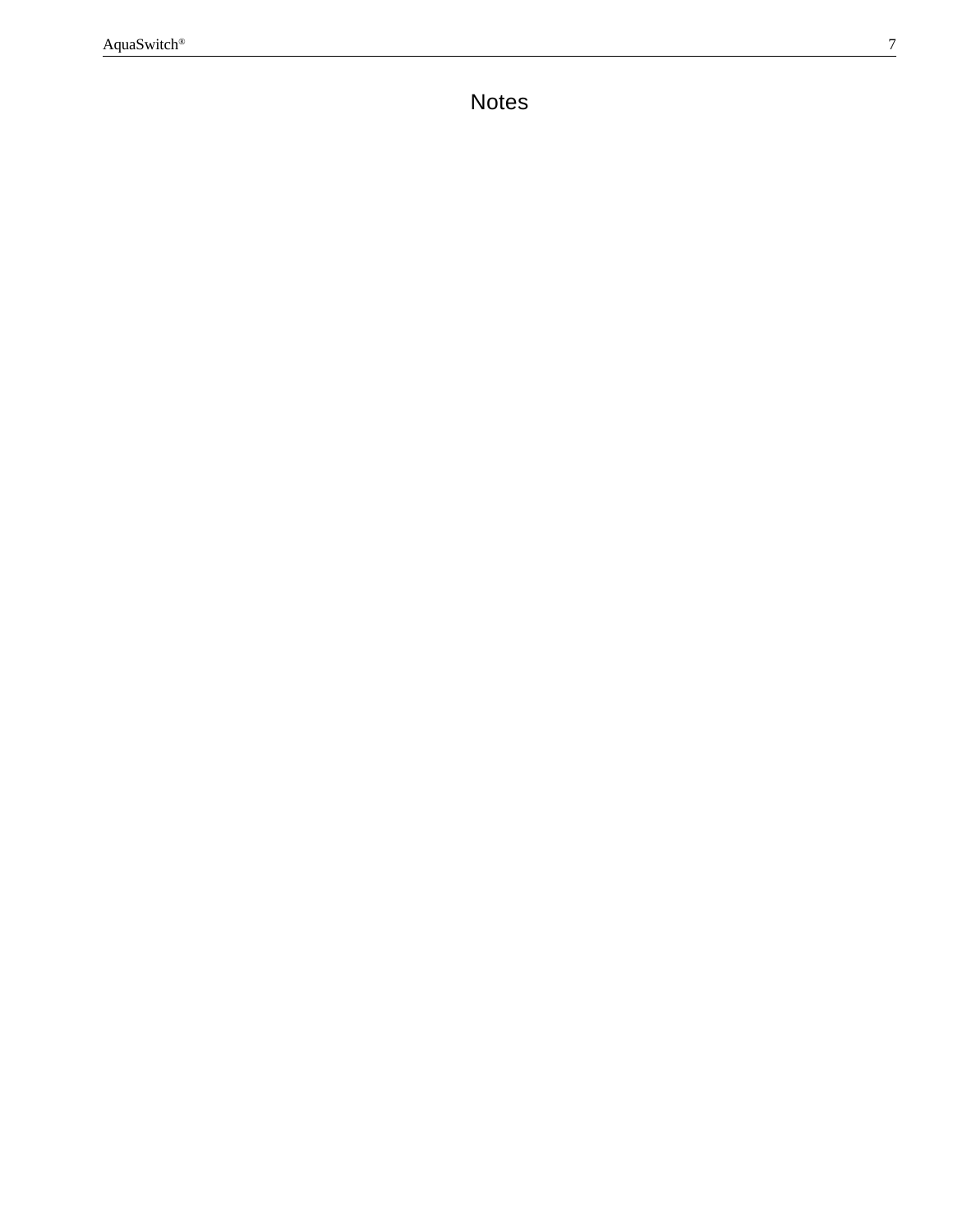Table of Contents. The Contents of Contents of Contents of Contents. The Contents of Contents of Contents. The Contents of Contents of Contents of Contents. The Contents of Contents of Contents of Contents. The Contents of Notes